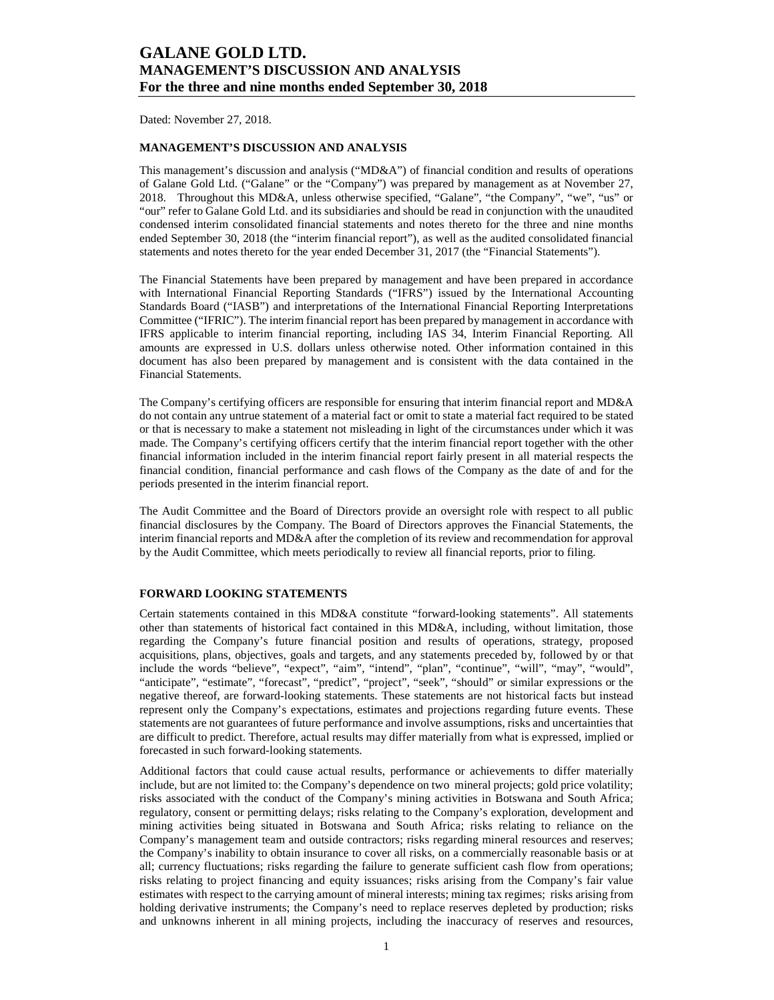Dated: November 27, 2018.

### **MANAGEMENT'S DISCUSSION AND ANALYSIS**

This management's discussion and analysis ("MD&A") of financial condition and results of operations of Galane Gold Ltd. ("Galane" or the "Company") was prepared by management as at November 27, 2018. Throughout this MD&A, unless otherwise specified, "Galane", "the Company", "we", "us" or "our" refer to Galane Gold Ltd. and its subsidiaries and should be read in conjunction with the unaudited condensed interim consolidated financial statements and notes thereto for the three and nine months ended September 30, 2018 (the "interim financial report"), as well as the audited consolidated financial statements and notes thereto for the year ended December 31, 2017 (the "Financial Statements").

The Financial Statements have been prepared by management and have been prepared in accordance with International Financial Reporting Standards ("IFRS") issued by the International Accounting Standards Board ("IASB") and interpretations of the International Financial Reporting Interpretations Committee ("IFRIC"). The interim financial report has been prepared by management in accordance with IFRS applicable to interim financial reporting, including IAS 34, Interim Financial Reporting. All amounts are expressed in U.S. dollars unless otherwise noted. Other information contained in this document has also been prepared by management and is consistent with the data contained in the Financial Statements.

The Company's certifying officers are responsible for ensuring that interim financial report and MD&A do not contain any untrue statement of a material fact or omit to state a material fact required to be stated or that is necessary to make a statement not misleading in light of the circumstances under which it was made. The Company's certifying officers certify that the interim financial report together with the other financial information included in the interim financial report fairly present in all material respects the financial condition, financial performance and cash flows of the Company as the date of and for the periods presented in the interim financial report.

The Audit Committee and the Board of Directors provide an oversight role with respect to all public financial disclosures by the Company. The Board of Directors approves the Financial Statements, the interim financial reports and MD&A after the completion of its review and recommendation for approval by the Audit Committee, which meets periodically to review all financial reports, prior to filing.

#### **FORWARD LOOKING STATEMENTS**

Certain statements contained in this MD&A constitute "forward-looking statements". All statements other than statements of historical fact contained in this MD&A, including, without limitation, those regarding the Company's future financial position and results of operations, strategy, proposed acquisitions, plans, objectives, goals and targets, and any statements preceded by, followed by or that include the words "believe", "expect", "aim", "intend", "plan", "continue", "will", "may", "would", "anticipate", "estimate", "forecast", "predict", "project", "seek", "should" or similar expressions or the negative thereof, are forward-looking statements. These statements are not historical facts but instead represent only the Company's expectations, estimates and projections regarding future events. These statements are not guarantees of future performance and involve assumptions, risks and uncertainties that are difficult to predict. Therefore, actual results may differ materially from what is expressed, implied or forecasted in such forward-looking statements.

Additional factors that could cause actual results, performance or achievements to differ materially include, but are not limited to: the Company's dependence on two mineral projects; gold price volatility; risks associated with the conduct of the Company's mining activities in Botswana and South Africa; regulatory, consent or permitting delays; risks relating to the Company's exploration, development and mining activities being situated in Botswana and South Africa; risks relating to reliance on the Company's management team and outside contractors; risks regarding mineral resources and reserves; the Company's inability to obtain insurance to cover all risks, on a commercially reasonable basis or at all; currency fluctuations; risks regarding the failure to generate sufficient cash flow from operations; risks relating to project financing and equity issuances; risks arising from the Company's fair value estimates with respect to the carrying amount of mineral interests; mining tax regimes; risks arising from holding derivative instruments; the Company's need to replace reserves depleted by production; risks and unknowns inherent in all mining projects, including the inaccuracy of reserves and resources,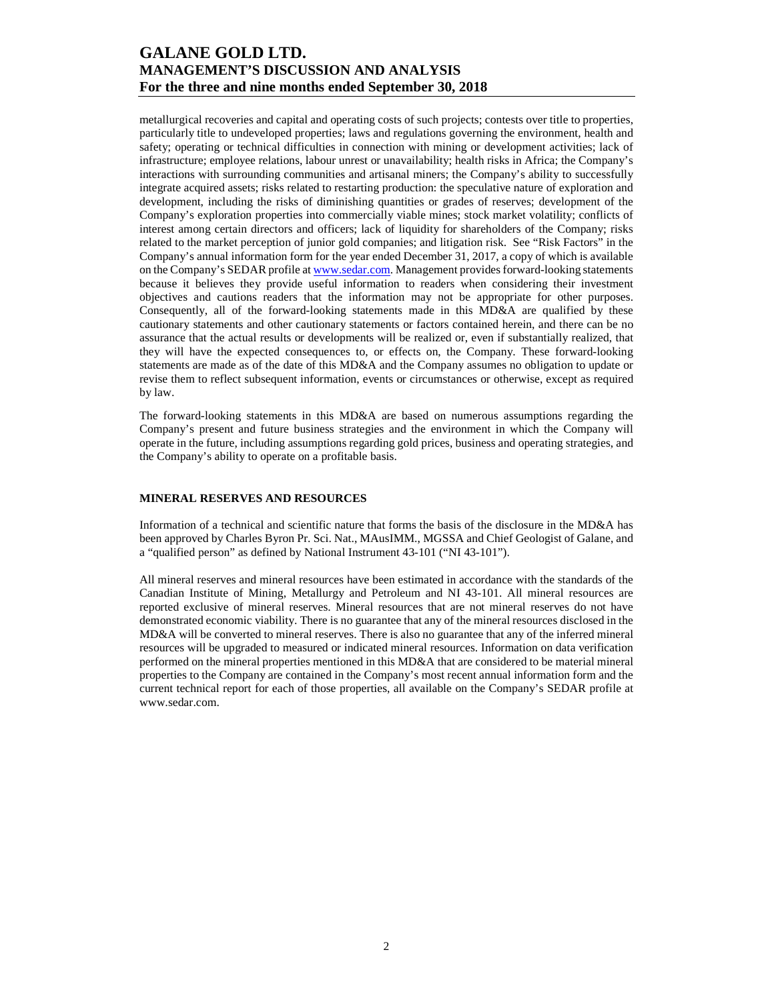metallurgical recoveries and capital and operating costs of such projects; contests over title to properties, particularly title to undeveloped properties; laws and regulations governing the environment, health and safety; operating or technical difficulties in connection with mining or development activities; lack of infrastructure; employee relations, labour unrest or unavailability; health risks in Africa; the Company's interactions with surrounding communities and artisanal miners; the Company's ability to successfully integrate acquired assets; risks related to restarting production: the speculative nature of exploration and development, including the risks of diminishing quantities or grades of reserves; development of the Company's exploration properties into commercially viable mines; stock market volatility; conflicts of interest among certain directors and officers; lack of liquidity for shareholders of the Company; risks related to the market perception of junior gold companies; and litigation risk. See "Risk Factors" in the Company's annual information form for the year ended December 31, 2017, a copy of which is available on the Company's SEDAR profile at www.sedar.com. Management provides forward-looking statements because it believes they provide useful information to readers when considering their investment objectives and cautions readers that the information may not be appropriate for other purposes. Consequently, all of the forward-looking statements made in this MD&A are qualified by these cautionary statements and other cautionary statements or factors contained herein, and there can be no assurance that the actual results or developments will be realized or, even if substantially realized, that they will have the expected consequences to, or effects on, the Company. These forward-looking statements are made as of the date of this MD&A and the Company assumes no obligation to update or revise them to reflect subsequent information, events or circumstances or otherwise, except as required by law.

The forward-looking statements in this MD&A are based on numerous assumptions regarding the Company's present and future business strategies and the environment in which the Company will operate in the future, including assumptions regarding gold prices, business and operating strategies, and the Company's ability to operate on a profitable basis.

### **MINERAL RESERVES AND RESOURCES**

Information of a technical and scientific nature that forms the basis of the disclosure in the MD&A has been approved by Charles Byron Pr. Sci. Nat., MAusIMM., MGSSA and Chief Geologist of Galane, and a "qualified person" as defined by National Instrument 43-101 ("NI 43-101").

All mineral reserves and mineral resources have been estimated in accordance with the standards of the Canadian Institute of Mining, Metallurgy and Petroleum and NI 43-101. All mineral resources are reported exclusive of mineral reserves. Mineral resources that are not mineral reserves do not have demonstrated economic viability. There is no guarantee that any of the mineral resources disclosed in the MD&A will be converted to mineral reserves. There is also no guarantee that any of the inferred mineral resources will be upgraded to measured or indicated mineral resources. Information on data verification performed on the mineral properties mentioned in this MD&A that are considered to be material mineral properties to the Company are contained in the Company's most recent annual information form and the current technical report for each of those properties, all available on the Company's SEDAR profile at www.sedar.com.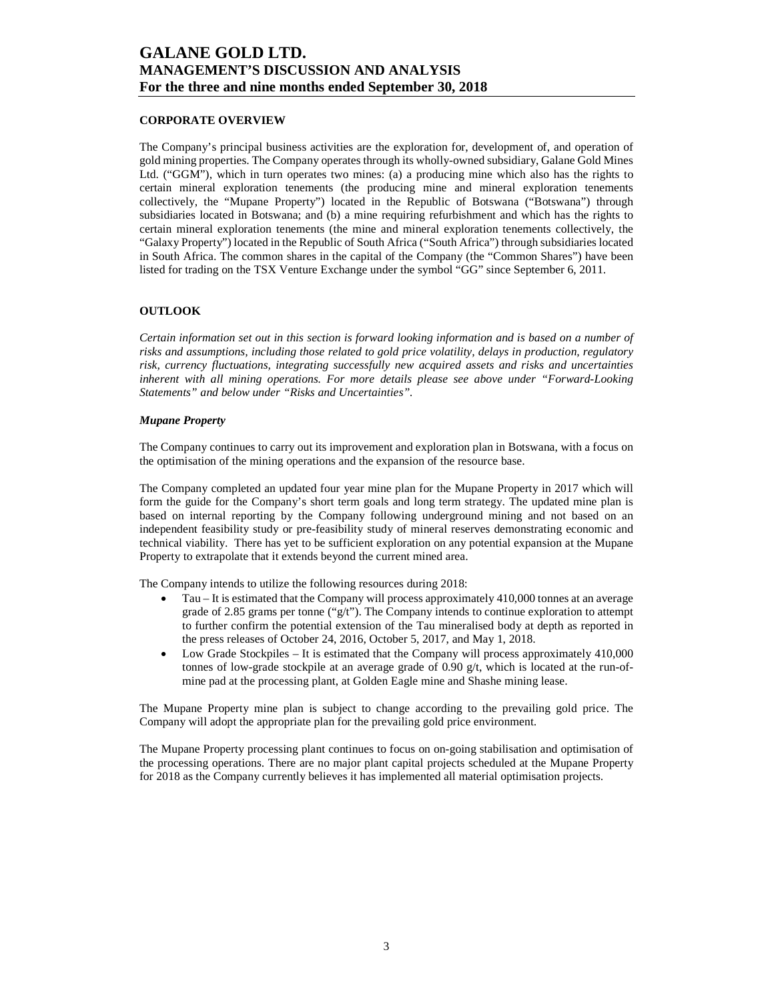### **CORPORATE OVERVIEW**

The Company's principal business activities are the exploration for, development of, and operation of gold mining properties. The Company operates through its wholly-owned subsidiary, Galane Gold Mines Ltd. ("GGM"), which in turn operates two mines: (a) a producing mine which also has the rights to certain mineral exploration tenements (the producing mine and mineral exploration tenements collectively, the "Mupane Property") located in the Republic of Botswana ("Botswana") through subsidiaries located in Botswana; and (b) a mine requiring refurbishment and which has the rights to certain mineral exploration tenements (the mine and mineral exploration tenements collectively, the "Galaxy Property") located in the Republic of South Africa ("South Africa") through subsidiaries located in South Africa. The common shares in the capital of the Company (the "Common Shares") have been listed for trading on the TSX Venture Exchange under the symbol "GG" since September 6, 2011.

### **OUTLOOK**

*Certain information set out in this section is forward looking information and is based on a number of risks and assumptions, including those related to gold price volatility, delays in production, regulatory risk, currency fluctuations, integrating successfully new acquired assets and risks and uncertainties inherent with all mining operations. For more details please see above under "Forward-Looking Statements" and below under "Risks and Uncertainties".* 

#### *Mupane Property*

The Company continues to carry out its improvement and exploration plan in Botswana, with a focus on the optimisation of the mining operations and the expansion of the resource base.

The Company completed an updated four year mine plan for the Mupane Property in 2017 which will form the guide for the Company's short term goals and long term strategy. The updated mine plan is based on internal reporting by the Company following underground mining and not based on an independent feasibility study or pre-feasibility study of mineral reserves demonstrating economic and technical viability. There has yet to be sufficient exploration on any potential expansion at the Mupane Property to extrapolate that it extends beyond the current mined area.

The Company intends to utilize the following resources during 2018:

- Tau It is estimated that the Company will process approximately 410,000 tonnes at an average grade of 2.85 grams per tonne (" $g/t$ "). The Company intends to continue exploration to attempt to further confirm the potential extension of the Tau mineralised body at depth as reported in the press releases of October 24, 2016, October 5, 2017, and May 1, 2018.
- Low Grade Stockpiles It is estimated that the Company will process approximately 410,000 tonnes of low-grade stockpile at an average grade of 0.90  $g/t$ , which is located at the run-ofmine pad at the processing plant, at Golden Eagle mine and Shashe mining lease.

The Mupane Property mine plan is subject to change according to the prevailing gold price. The Company will adopt the appropriate plan for the prevailing gold price environment.

The Mupane Property processing plant continues to focus on on-going stabilisation and optimisation of the processing operations. There are no major plant capital projects scheduled at the Mupane Property for 2018 as the Company currently believes it has implemented all material optimisation projects.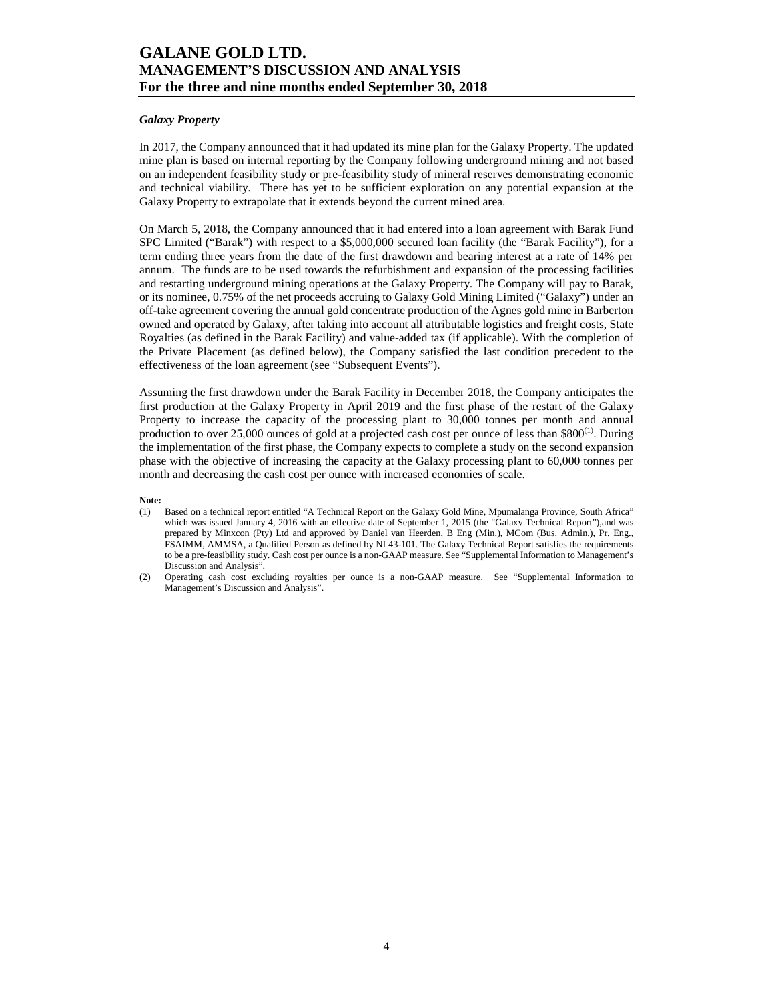### *Galaxy Property*

In 2017, the Company announced that it had updated its mine plan for the Galaxy Property. The updated mine plan is based on internal reporting by the Company following underground mining and not based on an independent feasibility study or pre-feasibility study of mineral reserves demonstrating economic and technical viability. There has yet to be sufficient exploration on any potential expansion at the Galaxy Property to extrapolate that it extends beyond the current mined area.

On March 5, 2018, the Company announced that it had entered into a loan agreement with Barak Fund SPC Limited ("Barak") with respect to a \$5,000,000 secured loan facility (the "Barak Facility"), for a term ending three years from the date of the first drawdown and bearing interest at a rate of 14% per annum. The funds are to be used towards the refurbishment and expansion of the processing facilities and restarting underground mining operations at the Galaxy Property. The Company will pay to Barak, or its nominee, 0.75% of the net proceeds accruing to Galaxy Gold Mining Limited ("Galaxy") under an off-take agreement covering the annual gold concentrate production of the Agnes gold mine in Barberton owned and operated by Galaxy, after taking into account all attributable logistics and freight costs, State Royalties (as defined in the Barak Facility) and value-added tax (if applicable). With the completion of the Private Placement (as defined below), the Company satisfied the last condition precedent to the effectiveness of the loan agreement (see "Subsequent Events").

Assuming the first drawdown under the Barak Facility in December 2018, the Company anticipates the first production at the Galaxy Property in April 2019 and the first phase of the restart of the Galaxy Property to increase the capacity of the processing plant to 30,000 tonnes per month and annual production to over 25,000 ounces of gold at a projected cash cost per ounce of less than  $$800^{(1)}$ . During the implementation of the first phase, the Company expects to complete a study on the second expansion phase with the objective of increasing the capacity at the Galaxy processing plant to 60,000 tonnes per month and decreasing the cash cost per ounce with increased economies of scale.

### **Note:**

- (1) Based on a technical report entitled "A Technical Report on the Galaxy Gold Mine, Mpumalanga Province, South Africa" which was issued January 4, 2016 with an effective date of September 1, 2015 (the "Galaxy Technical Report"),and was prepared by Minxcon (Pty) Ltd and approved by Daniel van Heerden, B Eng (Min.), MCom (Bus. Admin.), Pr. Eng., FSAIMM, AMMSA, a Qualified Person as defined by NI 43-101. The Galaxy Technical Report satisfies the requirements to be a pre-feasibility study. Cash cost per ounce is a non-GAAP measure. See "Supplemental Information to Management's Discussion and Analysis".
- (2) Operating cash cost excluding royalties per ounce is a non-GAAP measure. See "Supplemental Information to Management's Discussion and Analysis".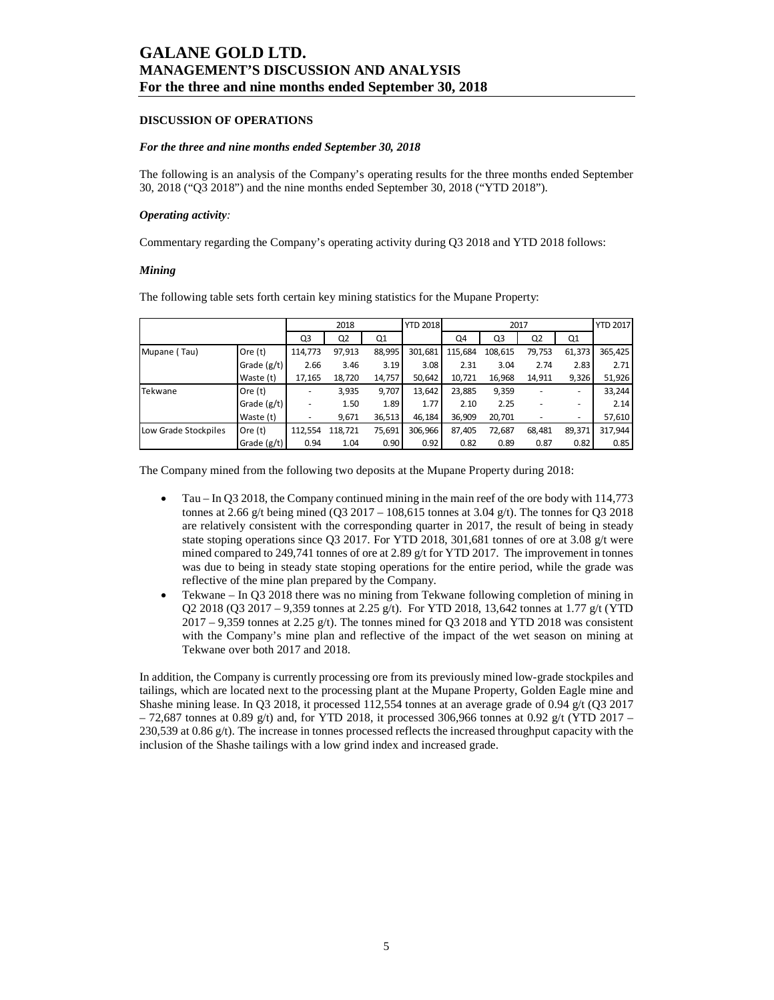### **DISCUSSION OF OPERATIONS**

#### *For the three and nine months ended September 30, 2018*

The following is an analysis of the Company's operating results for the three months ended September 30, 2018 ("Q3 2018") and the nine months ended September 30, 2018 ("YTD 2018").

#### *Operating activity:*

Commentary regarding the Company's operating activity during Q3 2018 and YTD 2018 follows:

#### *Mining*

The following table sets forth certain key mining statistics for the Mupane Property:

|                      |               |         | 2018           |        | <b>YTD 2018</b> | 2017    |         |                | <b>YTD 2017</b> |         |
|----------------------|---------------|---------|----------------|--------|-----------------|---------|---------|----------------|-----------------|---------|
|                      |               | Q3      | Q <sub>2</sub> | Q1     |                 | Q4      | Q3      | Q <sub>2</sub> | Q1              |         |
| Mupane (Tau)         | Ore $(t)$     | 114,773 | 97,913         | 88,995 | 301,681         | 115,684 | 108,615 | 79,753         | 61,373          | 365,425 |
|                      | Grade $(g/t)$ | 2.66    | 3.46           | 3.19   | 3.08            | 2.31    | 3.04    | 2.74           | 2.83            | 2.71    |
|                      | Waste (t)     | 17,165  | 18,720         | 14,757 | 50,642          | 10,721  | 16,968  | 14.911         | 9,326           | 51,926  |
| Tekwane              | Ore $(t)$     |         | 3,935          | 9,707  | 13,642          | 23,885  | 9,359   |                | ۰               | 33,244  |
|                      | Grade $(g/t)$ |         | 1.50           | 1.89   | 1.77            | 2.10    | 2.25    |                | ۰               | 2.14    |
|                      | Waste (t)     |         | 9,671          | 36,513 | 46,184          | 36,909  | 20,701  |                | ۰               | 57,610  |
| Low Grade Stockpiles | Ore $(t)$     | 112,554 | 118,721        | 75,691 | 306,966         | 87,405  | 72,687  | 68,481         | 89,371          | 317,944 |
|                      | Grade (g/t)   | 0.94    | 1.04           | 0.90   | 0.92            | 0.82    | 0.89    | 0.87           | 0.82            | 0.85    |

The Company mined from the following two deposits at the Mupane Property during 2018:

- Tau In Q3 2018, the Company continued mining in the main reef of the ore body with 114,773 tonnes at 2.66 g/t being mined (Q3 2017 – 108,615 tonnes at 3.04 g/t). The tonnes for Q3 2018 are relatively consistent with the corresponding quarter in 2017, the result of being in steady state stoping operations since Q3 2017. For YTD 2018, 301,681 tonnes of ore at 3.08 g/t were mined compared to 249,741 tonnes of ore at 2.89 g/t for YTD 2017. The improvement in tonnes was due to being in steady state stoping operations for the entire period, while the grade was reflective of the mine plan prepared by the Company.
- Tekwane In Q3 2018 there was no mining from Tekwane following completion of mining in Q2 2018 (Q3 2017 – 9,359 tonnes at 2.25 g/t). For YTD 2018, 13,642 tonnes at 1.77 g/t (YTD  $2017 - 9,359$  tonnes at 2.25 g/t). The tonnes mined for Q3 2018 and YTD 2018 was consistent with the Company's mine plan and reflective of the impact of the wet season on mining at Tekwane over both 2017 and 2018.

In addition, the Company is currently processing ore from its previously mined low-grade stockpiles and tailings, which are located next to the processing plant at the Mupane Property, Golden Eagle mine and Shashe mining lease. In Q3 2018, it processed 112,554 tonnes at an average grade of 0.94 g/t (Q3 2017  $-72,687$  tonnes at 0.89 g/t) and, for YTD 2018, it processed 306,966 tonnes at 0.92 g/t (YTD 2017 – 230,539 at 0.86  $g$ /t). The increase in tonnes processed reflects the increased throughput capacity with the inclusion of the Shashe tailings with a low grind index and increased grade.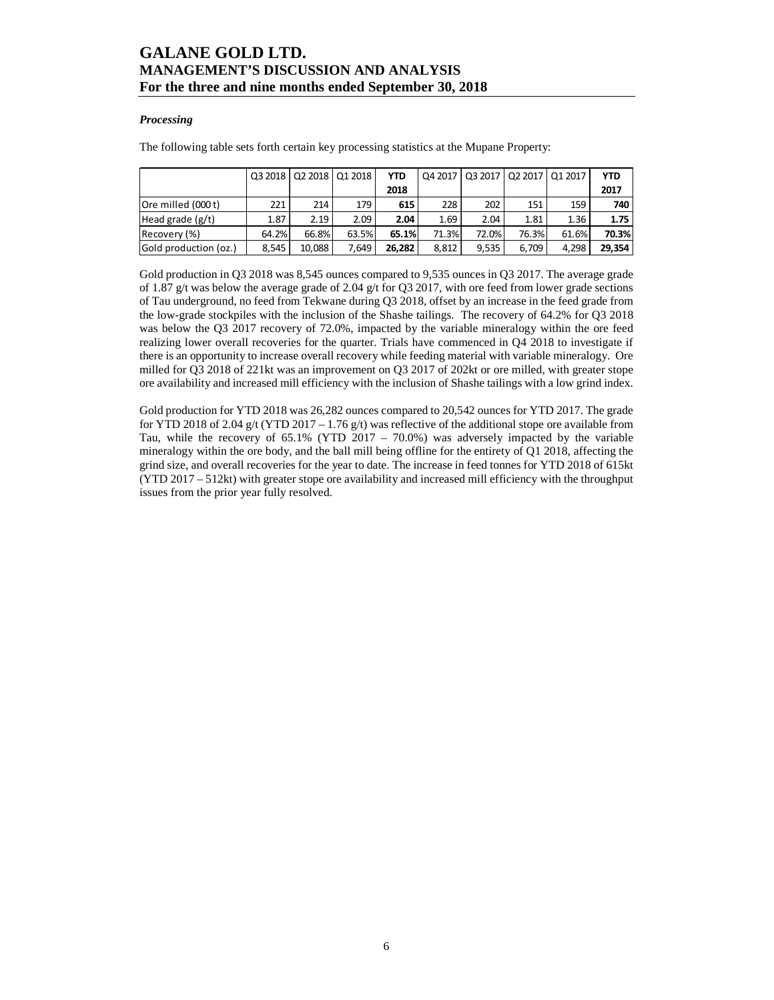### *Processing*

The following table sets forth certain key processing statistics at the Mupane Property:

|                       |       | 03 2018 02 2018 01 2018 |       | <b>YTD</b> |       | 04 2017   03 2017   02 2017   01 2017 |       |       | <b>YTD</b> |
|-----------------------|-------|-------------------------|-------|------------|-------|---------------------------------------|-------|-------|------------|
|                       |       |                         |       | 2018       |       |                                       |       |       | 2017       |
| Ore milled (000 t)    | 221   | 214                     | 179   | 615        | 228   | 202                                   | 151   | 159   | 740        |
| Head grade $(g/t)$    | 1.87  | 2.19                    | 2.09  | 2.04       | 1.69  | 2.04                                  | 1.81  | 1.36  | 1.75       |
| Recovery (%)          | 64.2% | 66.8%                   | 63.5% | 65.1%      | 71.3% | 72.0%                                 | 76.3% | 61.6% | 70.3%      |
| Gold production (oz.) | 8.545 | 10.088                  | 7.649 | 26.282     | 8.812 | 9.535                                 | 6.709 | 4.298 | 29.354     |

Gold production in Q3 2018 was 8,545 ounces compared to 9,535 ounces in Q3 2017. The average grade of 1.87 g/t was below the average grade of 2.04 g/t for Q3 2017, with ore feed from lower grade sections of Tau underground, no feed from Tekwane during Q3 2018, offset by an increase in the feed grade from the low-grade stockpiles with the inclusion of the Shashe tailings. The recovery of 64.2% for Q3 2018 was below the Q3 2017 recovery of 72.0%, impacted by the variable mineralogy within the ore feed realizing lower overall recoveries for the quarter. Trials have commenced in Q4 2018 to investigate if there is an opportunity to increase overall recovery while feeding material with variable mineralogy. Ore milled for Q3 2018 of 221kt was an improvement on Q3 2017 of 202kt or ore milled, with greater stope ore availability and increased mill efficiency with the inclusion of Shashe tailings with a low grind index.

Gold production for YTD 2018 was 26,282 ounces compared to 20,542 ounces for YTD 2017. The grade for YTD 2018 of 2.04 g/t (YTD 2017 – 1.76 g/t) was reflective of the additional stope ore available from Tau, while the recovery of 65.1% (YTD 2017 – 70.0%) was adversely impacted by the variable mineralogy within the ore body, and the ball mill being offline for the entirety of Q1 2018, affecting the grind size, and overall recoveries for the year to date. The increase in feed tonnes for YTD 2018 of 615kt (YTD 2017 – 512kt) with greater stope ore availability and increased mill efficiency with the throughput issues from the prior year fully resolved.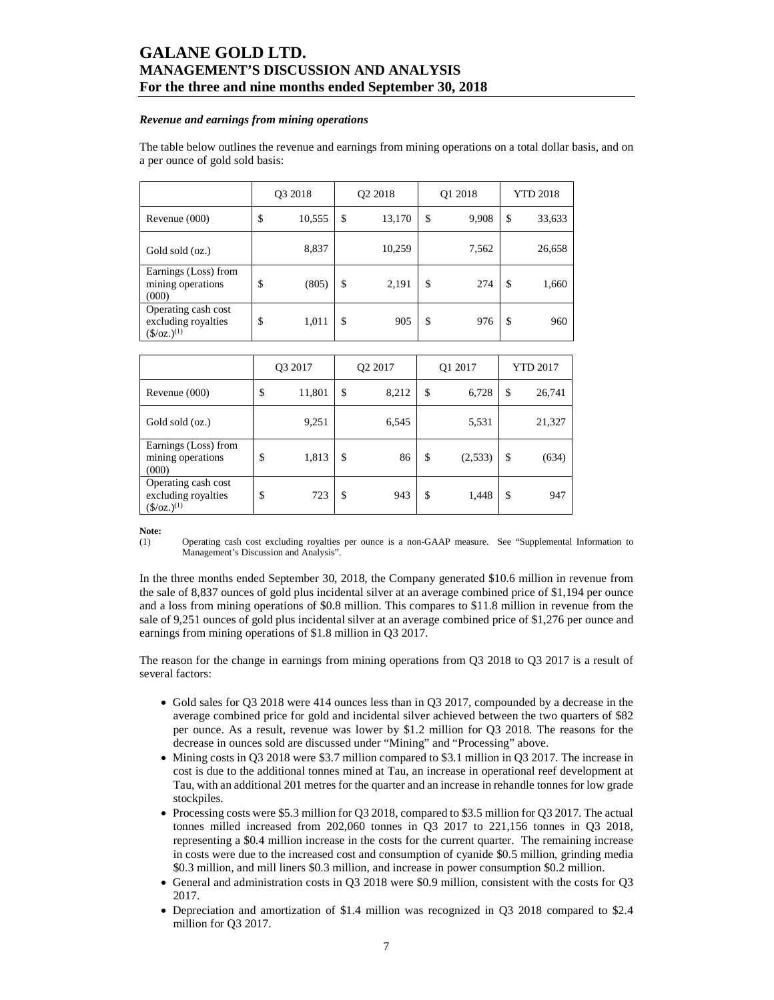#### *Revenue and earnings from mining operations*

The table below outlines the revenue and earnings from mining operations on a total dollar basis, and on a per ounce of gold sold basis:

|                                                                      | Q3 2018 |        | Q <sub>2</sub> 2018 | Q1 2018     | <b>YTD 2018</b> |        |  |
|----------------------------------------------------------------------|---------|--------|---------------------|-------------|-----------------|--------|--|
| Revenue $(000)$                                                      | \$      | 10,555 | \$<br>13,170        | \$<br>9,908 | \$              | 33,633 |  |
| Gold sold (oz.)                                                      |         | 8,837  | 10,259              | 7,562       |                 | 26,658 |  |
| Earnings (Loss) from<br>mining operations<br>(000)                   | \$      | (805)  | \$<br>2,191         | \$<br>274   | \$              | 1,660  |  |
| Operating cash cost<br>excluding royalties<br>$(\frac{5}{oz})^{(1)}$ | \$      | 1,011  | \$<br>905           | \$<br>976   | \$              | 960    |  |

|                                                                           | O <sub>3</sub> 2017 |        |    | O <sub>2</sub> 2017 | Q1 2017       | <b>YTD 2017</b> |        |  |
|---------------------------------------------------------------------------|---------------------|--------|----|---------------------|---------------|-----------------|--------|--|
| Revenue $(000)$                                                           | \$                  | 11,801 | \$ | 8,212               | \$<br>6,728   | \$              | 26,741 |  |
| Gold sold (oz.)                                                           |                     | 9,251  |    | 6,545               | 5,531         |                 | 21,327 |  |
| Earnings (Loss) from<br>mining operations<br>(000)                        | \$                  | 1,813  | \$ | 86                  | \$<br>(2,533) | \$              | (634)  |  |
| Operating cash cost<br>excluding royalties<br>$(\frac{\csc(1)}{2})^{(1)}$ | \$                  | 723    | \$ | 943                 | \$<br>1,448   | \$              | 947    |  |

**Note:** (1)

(1) Operating cash cost excluding royalties per ounce is a non-GAAP measure. See "Supplemental Information to Management's Discussion and Analysis".

In the three months ended September 30, 2018, the Company generated \$10.6 million in revenue from the sale of 8,837 ounces of gold plus incidental silver at an average combined price of \$1,194 per ounce and a loss from mining operations of \$0.8 million. This compares to \$11.8 million in revenue from the sale of 9,251 ounces of gold plus incidental silver at an average combined price of \$1,276 per ounce and earnings from mining operations of \$1.8 million in Q3 2017.

The reason for the change in earnings from mining operations from Q3 2018 to Q3 2017 is a result of several factors:

- Gold sales for Q3 2018 were 414 ounces less than in Q3 2017, compounded by a decrease in the average combined price for gold and incidental silver achieved between the two quarters of \$82 per ounce. As a result, revenue was lower by \$1.2 million for Q3 2018. The reasons for the decrease in ounces sold are discussed under "Mining" and "Processing" above.
- Mining costs in Q3 2018 were \$3.7 million compared to \$3.1 million in Q3 2017. The increase in cost is due to the additional tonnes mined at Tau, an increase in operational reef development at Tau, with an additional 201 metres for the quarter and an increase in rehandle tonnes for low grade stockpiles.
- Processing costs were \$5.3 million for Q3 2018, compared to \$3.5 million for Q3 2017. The actual tonnes milled increased from 202,060 tonnes in Q3 2017 to 221,156 tonnes in Q3 2018, representing a \$0.4 million increase in the costs for the current quarter. The remaining increase in costs were due to the increased cost and consumption of cyanide \$0.5 million, grinding media \$0.3 million, and mill liners \$0.3 million, and increase in power consumption \$0.2 million.
- General and administration costs in Q3 2018 were \$0.9 million, consistent with the costs for Q3 2017.
- Depreciation and amortization of \$1.4 million was recognized in Q3 2018 compared to \$2.4 million for Q3 2017.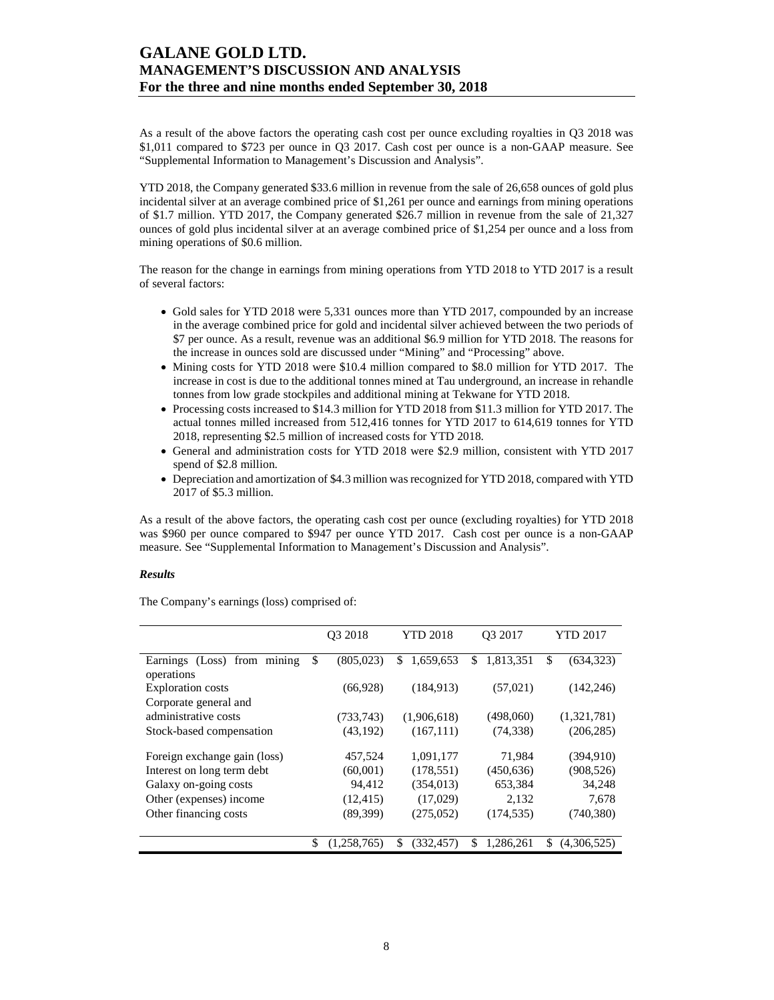As a result of the above factors the operating cash cost per ounce excluding royalties in Q3 2018 was \$1,011 compared to \$723 per ounce in Q3 2017. Cash cost per ounce is a non-GAAP measure. See "Supplemental Information to Management's Discussion and Analysis".

YTD 2018, the Company generated \$33.6 million in revenue from the sale of 26,658 ounces of gold plus incidental silver at an average combined price of \$1,261 per ounce and earnings from mining operations of \$1.7 million. YTD 2017, the Company generated \$26.7 million in revenue from the sale of 21,327 ounces of gold plus incidental silver at an average combined price of \$1,254 per ounce and a loss from mining operations of \$0.6 million.

The reason for the change in earnings from mining operations from YTD 2018 to YTD 2017 is a result of several factors:

- Gold sales for YTD 2018 were 5,331 ounces more than YTD 2017, compounded by an increase in the average combined price for gold and incidental silver achieved between the two periods of \$7 per ounce. As a result, revenue was an additional \$6.9 million for YTD 2018. The reasons for the increase in ounces sold are discussed under "Mining" and "Processing" above.
- Mining costs for YTD 2018 were \$10.4 million compared to \$8.0 million for YTD 2017. The increase in cost is due to the additional tonnes mined at Tau underground, an increase in rehandle tonnes from low grade stockpiles and additional mining at Tekwane for YTD 2018.
- Processing costs increased to \$14.3 million for YTD 2018 from \$11.3 million for YTD 2017. The actual tonnes milled increased from 512,416 tonnes for YTD 2017 to 614,619 tonnes for YTD 2018, representing \$2.5 million of increased costs for YTD 2018.
- General and administration costs for YTD 2018 were \$2.9 million, consistent with YTD 2017 spend of \$2.8 million.
- Depreciation and amortization of \$4.3 million was recognized for YTD 2018, compared with YTD 2017 of \$5.3 million.

As a result of the above factors, the operating cash cost per ounce (excluding royalties) for YTD 2018 was \$960 per ounce compared to \$947 per ounce YTD 2017. Cash cost per ounce is a non-GAAP measure. See "Supplemental Information to Management's Discussion and Analysis".

### *Results*

The Company's earnings (loss) comprised of:

|                              | O <sub>3</sub> 2018 | <b>YTD 2018</b>  | O <sub>3</sub> 2017 |            |    | <b>YTD 2017</b> |  |
|------------------------------|---------------------|------------------|---------------------|------------|----|-----------------|--|
| Earnings (Loss) from mining  | \$<br>(805, 023)    | \$<br>1,659,653  | \$                  | 1,813,351  | \$ | (634, 323)      |  |
| operations                   |                     |                  |                     |            |    |                 |  |
| <b>Exploration costs</b>     | (66, 928)           | (184, 913)       |                     | (57, 021)  |    | (142, 246)      |  |
| Corporate general and        |                     |                  |                     |            |    |                 |  |
| administrative costs         | (733,743)           | (1,906,618)      |                     | (498,060)  |    | (1,321,781)     |  |
| Stock-based compensation     | (43, 192)           | (167, 111)       |                     | (74, 338)  |    | (206, 285)      |  |
| Foreign exchange gain (loss) | 457,524             | 1,091,177        |                     | 71,984     |    | (394, 910)      |  |
| Interest on long term debt   | (60,001)            | (178, 551)       |                     | (450, 636) |    | (908, 526)      |  |
| Galaxy on-going costs        | 94,412              | (354, 013)       |                     | 653,384    |    | 34,248          |  |
| Other (expenses) income      | (12, 415)           | (17,029)         |                     | 2,132      |    | 7,678           |  |
| Other financing costs        | (89,399)            | (275,052)        |                     | (174, 535) |    | (740, 380)      |  |
|                              |                     |                  |                     |            |    |                 |  |
|                              | \$<br>(1,258,765)   | \$<br>(332, 457) | \$                  | 1,286,261  | \$ | (4,306,525)     |  |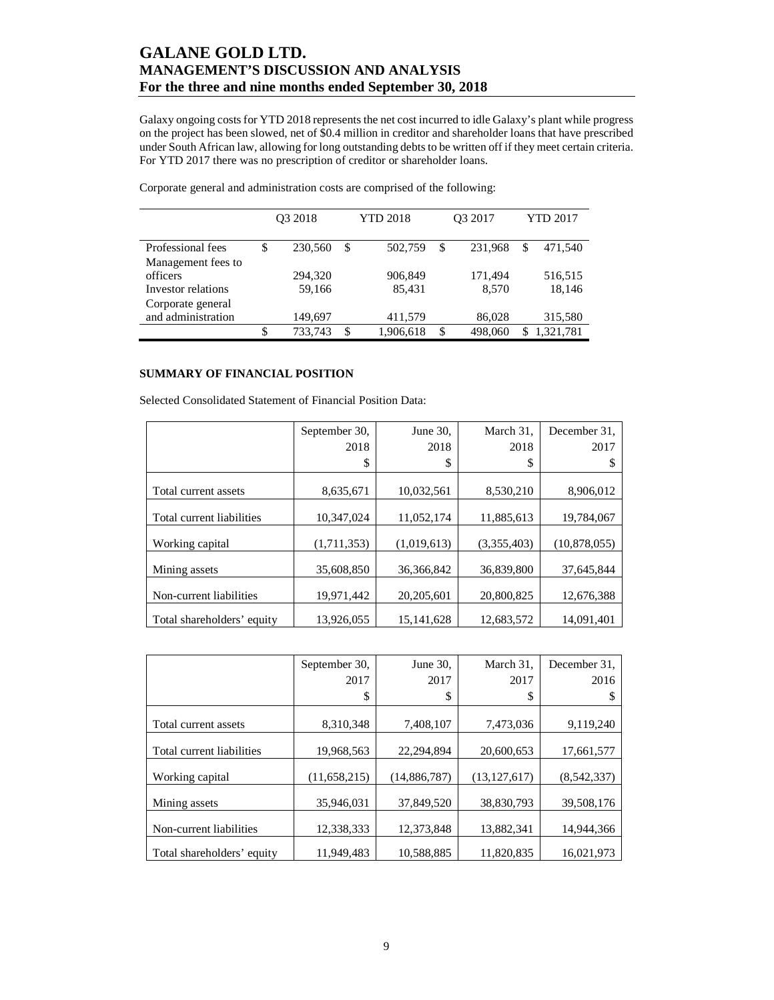Galaxy ongoing costs for YTD 2018 represents the net cost incurred to idle Galaxy's plant while progress on the project has been slowed, net of \$0.4 million in creditor and shareholder loans that have prescribed under South African law, allowing for long outstanding debts to be written off if they meet certain criteria. For YTD 2017 there was no prescription of creditor or shareholder loans.

|                    | O <sub>3</sub> 2018 |         |    | <b>YTD 2018</b> | O <sub>3</sub> 2017 | <b>YTD 2017</b> |           |  |
|--------------------|---------------------|---------|----|-----------------|---------------------|-----------------|-----------|--|
|                    |                     |         |    |                 |                     |                 |           |  |
| Professional fees  | \$                  | 230,560 | \$ | 502,759         | \$<br>231.968       | \$              | 471,540   |  |
| Management fees to |                     |         |    |                 |                     |                 |           |  |
| officers           |                     | 294,320 |    | 906,849         | 171,494             |                 | 516,515   |  |
| Investor relations |                     | 59,166  |    | 85,431          | 8,570               |                 | 18,146    |  |
| Corporate general  |                     |         |    |                 |                     |                 |           |  |
| and administration |                     | 149,697 |    | 411,579         | 86,028              |                 | 315,580   |  |
|                    | \$                  | 733,743 | \$ | 1,906,618       | \$<br>498,060       | S               | 1,321,781 |  |

Corporate general and administration costs are comprised of the following:

### **SUMMARY OF FINANCIAL POSITION**

Selected Consolidated Statement of Financial Position Data:

|                            | September 30, | June 30,     | March 31.   | December 31.   |
|----------------------------|---------------|--------------|-------------|----------------|
|                            | 2018          | 2018         | 2018        | 2017           |
|                            | \$            | \$           | \$          |                |
|                            |               |              |             |                |
| Total current assets       | 8,635,671     | 10,032,561   | 8,530,210   | 8,906,012      |
| Total current liabilities  | 10.347.024    | 11,052,174   | 11,885,613  | 19,784,067     |
| Working capital            | (1,711,353)   | (1,019,613)  | (3,355,403) | (10, 878, 055) |
| Mining assets              | 35,608,850    | 36, 366, 842 | 36,839,800  | 37,645,844     |
| Non-current liabilities    | 19,971,442    | 20,205,601   | 20,800,825  | 12,676,388     |
| Total shareholders' equity | 13,926,055    | 15, 141, 628 | 12,683,572  | 14,091,401     |

|                            | September 30.  | June 30,     | March 31.      | December 31. |
|----------------------------|----------------|--------------|----------------|--------------|
|                            | 2017           | 2017         | 2017           | 2016         |
|                            | \$             | \$           | \$             |              |
|                            |                |              |                |              |
| Total current assets       | 8,310,348      | 7,408,107    | 7,473,036      | 9,119,240    |
| Total current liabilities  | 19,968,563     | 22,294,894   | 20,600,653     | 17,661,577   |
| Working capital            | (11, 658, 215) | (14,886,787) | (13, 127, 617) | (8,542,337)  |
| Mining assets              | 35.946.031     | 37.849.520   | 38,830,793     | 39.508.176   |
| Non-current liabilities    | 12,338,333     | 12,373,848   | 13,882,341     | 14,944,366   |
| Total shareholders' equity | 11,949,483     | 10,588,885   | 11,820,835     | 16,021,973   |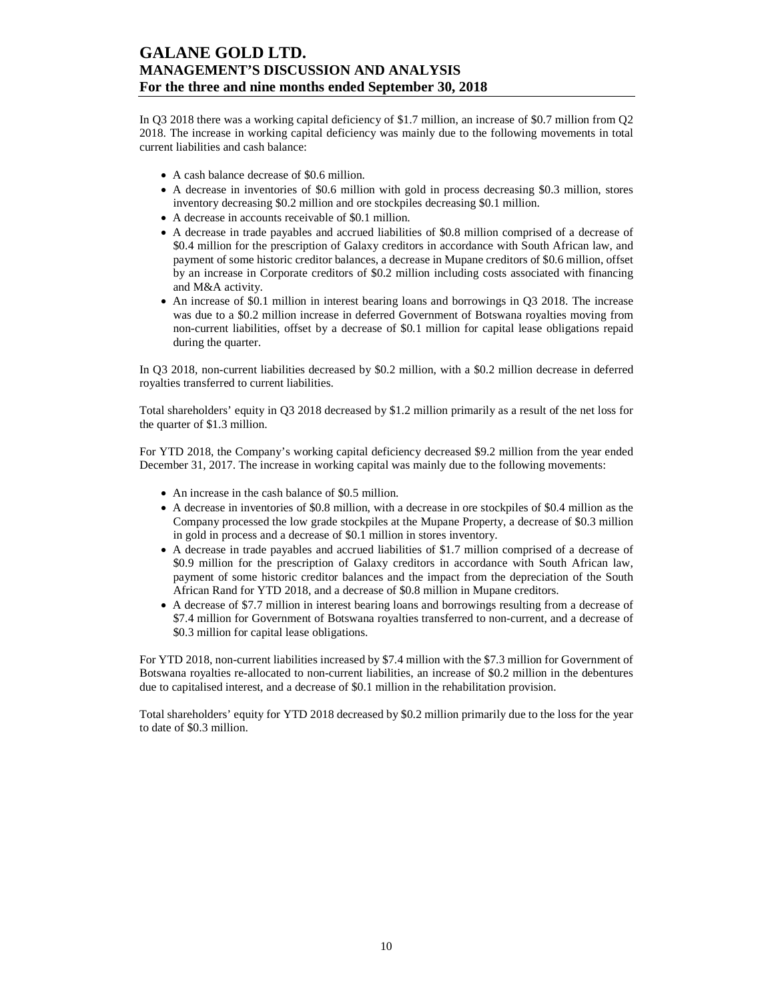In Q3 2018 there was a working capital deficiency of \$1.7 million, an increase of \$0.7 million from Q2 2018. The increase in working capital deficiency was mainly due to the following movements in total current liabilities and cash balance:

- A cash balance decrease of \$0.6 million.
- A decrease in inventories of \$0.6 million with gold in process decreasing \$0.3 million, stores inventory decreasing \$0.2 million and ore stockpiles decreasing \$0.1 million.
- A decrease in accounts receivable of \$0.1 million.
- A decrease in trade payables and accrued liabilities of \$0.8 million comprised of a decrease of \$0.4 million for the prescription of Galaxy creditors in accordance with South African law, and payment of some historic creditor balances, a decrease in Mupane creditors of \$0.6 million, offset by an increase in Corporate creditors of \$0.2 million including costs associated with financing and M&A activity.
- An increase of \$0.1 million in interest bearing loans and borrowings in Q3 2018. The increase was due to a \$0.2 million increase in deferred Government of Botswana royalties moving from non-current liabilities, offset by a decrease of \$0.1 million for capital lease obligations repaid during the quarter.

In Q3 2018, non-current liabilities decreased by \$0.2 million, with a \$0.2 million decrease in deferred royalties transferred to current liabilities.

Total shareholders' equity in Q3 2018 decreased by \$1.2 million primarily as a result of the net loss for the quarter of \$1.3 million.

For YTD 2018, the Company's working capital deficiency decreased \$9.2 million from the year ended December 31, 2017. The increase in working capital was mainly due to the following movements:

- An increase in the cash balance of \$0.5 million.
- A decrease in inventories of \$0.8 million, with a decrease in ore stockpiles of \$0.4 million as the Company processed the low grade stockpiles at the Mupane Property, a decrease of \$0.3 million in gold in process and a decrease of \$0.1 million in stores inventory.
- A decrease in trade payables and accrued liabilities of \$1.7 million comprised of a decrease of \$0.9 million for the prescription of Galaxy creditors in accordance with South African law, payment of some historic creditor balances and the impact from the depreciation of the South African Rand for YTD 2018, and a decrease of \$0.8 million in Mupane creditors.
- A decrease of \$7.7 million in interest bearing loans and borrowings resulting from a decrease of \$7.4 million for Government of Botswana royalties transferred to non-current, and a decrease of \$0.3 million for capital lease obligations.

For YTD 2018, non-current liabilities increased by \$7.4 million with the \$7.3 million for Government of Botswana royalties re-allocated to non-current liabilities, an increase of \$0.2 million in the debentures due to capitalised interest, and a decrease of \$0.1 million in the rehabilitation provision.

Total shareholders' equity for YTD 2018 decreased by \$0.2 million primarily due to the loss for the year to date of \$0.3 million.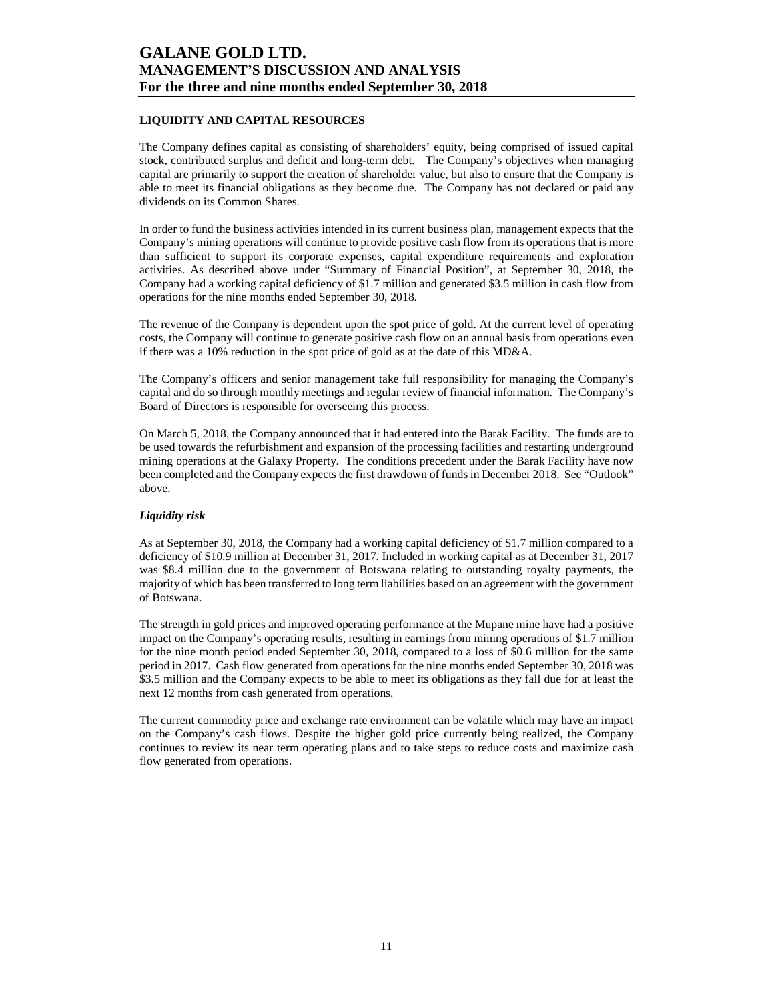### **LIQUIDITY AND CAPITAL RESOURCES**

The Company defines capital as consisting of shareholders' equity, being comprised of issued capital stock, contributed surplus and deficit and long-term debt. The Company's objectives when managing capital are primarily to support the creation of shareholder value, but also to ensure that the Company is able to meet its financial obligations as they become due. The Company has not declared or paid any dividends on its Common Shares.

In order to fund the business activities intended in its current business plan, management expects that the Company's mining operations will continue to provide positive cash flow from its operations that is more than sufficient to support its corporate expenses, capital expenditure requirements and exploration activities. As described above under "Summary of Financial Position", at September 30, 2018, the Company had a working capital deficiency of \$1.7 million and generated \$3.5 million in cash flow from operations for the nine months ended September 30, 2018.

The revenue of the Company is dependent upon the spot price of gold. At the current level of operating costs, the Company will continue to generate positive cash flow on an annual basis from operations even if there was a 10% reduction in the spot price of gold as at the date of this MD&A.

The Company's officers and senior management take full responsibility for managing the Company's capital and do so through monthly meetings and regular review of financial information. The Company's Board of Directors is responsible for overseeing this process.

On March 5, 2018, the Company announced that it had entered into the Barak Facility. The funds are to be used towards the refurbishment and expansion of the processing facilities and restarting underground mining operations at the Galaxy Property. The conditions precedent under the Barak Facility have now been completed and the Company expects the first drawdown of funds in December 2018. See "Outlook" above.

### *Liquidity risk*

As at September 30, 2018, the Company had a working capital deficiency of \$1.7 million compared to a deficiency of \$10.9 million at December 31, 2017. Included in working capital as at December 31, 2017 was \$8.4 million due to the government of Botswana relating to outstanding royalty payments, the majority of which has been transferred to long term liabilities based on an agreement with the government of Botswana.

The strength in gold prices and improved operating performance at the Mupane mine have had a positive impact on the Company's operating results, resulting in earnings from mining operations of \$1.7 million for the nine month period ended September 30, 2018, compared to a loss of \$0.6 million for the same period in 2017. Cash flow generated from operations for the nine months ended September 30, 2018 was \$3.5 million and the Company expects to be able to meet its obligations as they fall due for at least the next 12 months from cash generated from operations.

The current commodity price and exchange rate environment can be volatile which may have an impact on the Company's cash flows. Despite the higher gold price currently being realized, the Company continues to review its near term operating plans and to take steps to reduce costs and maximize cash flow generated from operations.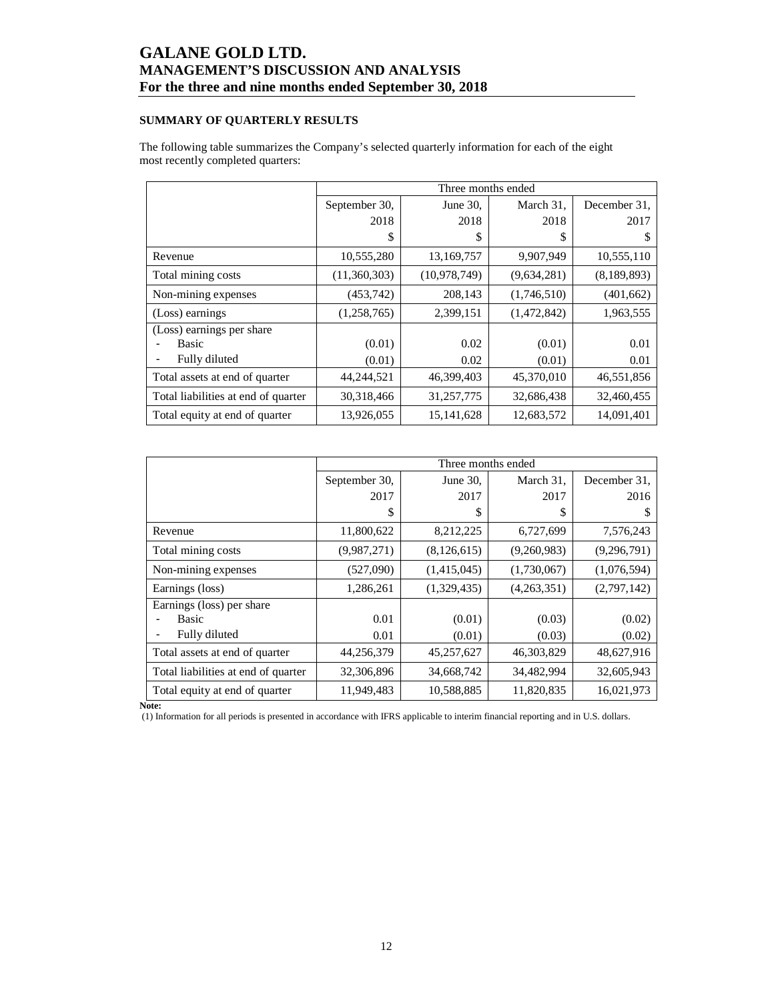### **SUMMARY OF QUARTERLY RESULTS**

The following table summarizes the Company's selected quarterly information for each of the eight most recently completed quarters:

|                                     |               | Three months ended |             |              |
|-------------------------------------|---------------|--------------------|-------------|--------------|
|                                     | September 30, | June 30,           | March 31,   | December 31, |
|                                     | 2018          | 2018               | 2018        | 2017         |
|                                     | \$            | S                  | S           | S            |
| Revenue                             | 10,555,280    | 13,169,757         | 9,907,949   | 10,555,110   |
| Total mining costs                  | (11,360,303)  | (10, 978, 749)     | (9,634,281) | (8,189,893)  |
| Non-mining expenses                 | (453,742)     | 208,143            | (1,746,510) | (401, 662)   |
| (Loss) earnings                     | (1,258,765)   | 2,399,151          | (1,472,842) | 1,963,555    |
| (Loss) earnings per share           |               |                    |             |              |
| Basic                               | (0.01)        | 0.02               | (0.01)      | 0.01         |
| Fully diluted                       | (0.01)        | 0.02               | (0.01)      | 0.01         |
| Total assets at end of quarter      | 44,244,521    | 46,399,403         | 45,370,010  | 46,551,856   |
| Total liabilities at end of quarter | 30,318,466    | 31,257,775         | 32,686,438  | 32,460,455   |
| Total equity at end of quarter      | 13,926,055    | 15, 141, 628       | 12,683,572  | 14,091,401   |

|                                     |               | Three months ended |             |               |
|-------------------------------------|---------------|--------------------|-------------|---------------|
|                                     | September 30, | June $30$ ,        | March 31,   | December 31.  |
|                                     | 2017          | 2017               | 2017        | 2016          |
|                                     | S             | S                  | S           | S             |
| Revenue                             | 11,800,622    | 8,212,225          | 6,727,699   | 7,576,243     |
| Total mining costs                  | (9,987,271)   | (8, 126, 615)      | (9,260,983) | (9, 296, 791) |
| Non-mining expenses                 | (527,090)     | (1,415,045)        | (1,730,067) | (1,076,594)   |
| Earnings (loss)                     | 1,286,261     | (1,329,435)        | (4,263,351) | (2,797,142)   |
| Earnings (loss) per share           |               |                    |             |               |
| <b>Basic</b>                        | 0.01          | (0.01)             | (0.03)      | (0.02)        |
| Fully diluted                       | 0.01          | (0.01)             | (0.03)      | (0.02)        |
| Total assets at end of quarter      | 44,256,379    | 45,257,627         | 46,303,829  | 48,627,916    |
| Total liabilities at end of quarter | 32,306,896    | 34,668,742         | 34,482,994  | 32,605,943    |
| Total equity at end of quarter      | 11,949,483    | 10,588,885         | 11,820,835  | 16,021,973    |

**Note:** 

(1) Information for all periods is presented in accordance with IFRS applicable to interim financial reporting and in U.S. dollars.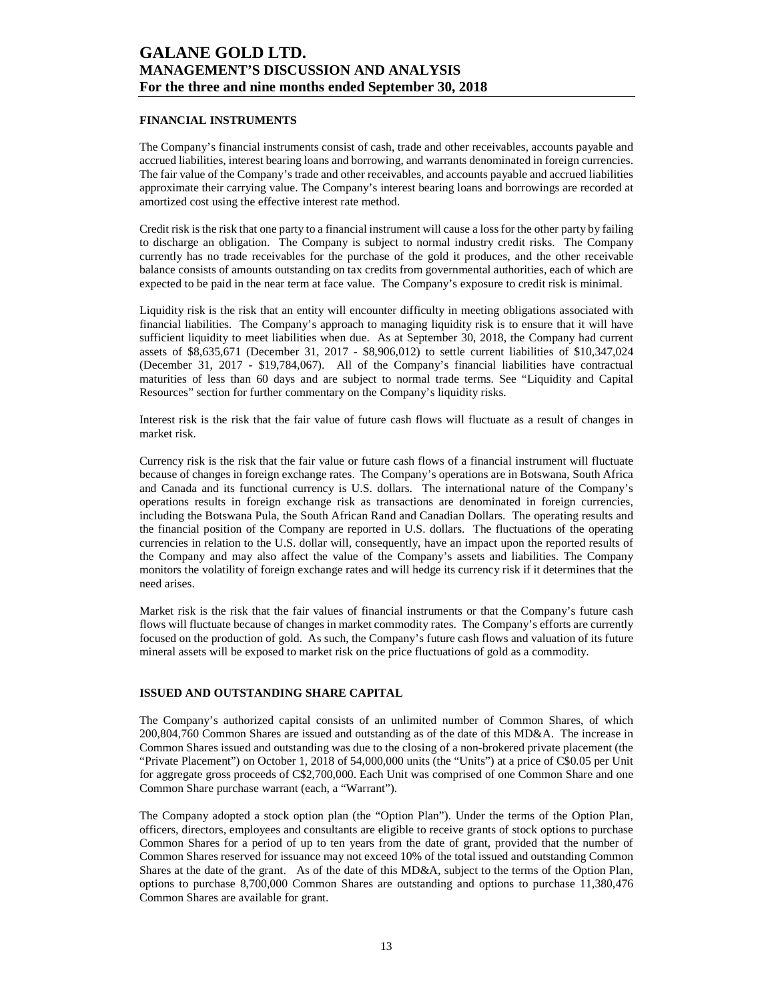### **FINANCIAL INSTRUMENTS**

The Company's financial instruments consist of cash, trade and other receivables, accounts payable and accrued liabilities, interest bearing loans and borrowing, and warrants denominated in foreign currencies. The fair value of the Company's trade and other receivables, and accounts payable and accrued liabilities approximate their carrying value. The Company's interest bearing loans and borrowings are recorded at amortized cost using the effective interest rate method.

Credit risk is the risk that one party to a financial instrument will cause a loss for the other party by failing to discharge an obligation. The Company is subject to normal industry credit risks. The Company currently has no trade receivables for the purchase of the gold it produces, and the other receivable balance consists of amounts outstanding on tax credits from governmental authorities, each of which are expected to be paid in the near term at face value. The Company's exposure to credit risk is minimal.

Liquidity risk is the risk that an entity will encounter difficulty in meeting obligations associated with financial liabilities. The Company's approach to managing liquidity risk is to ensure that it will have sufficient liquidity to meet liabilities when due. As at September 30, 2018, the Company had current assets of \$8,635,671 (December 31, 2017 - \$8,906,012) to settle current liabilities of \$10,347,024 (December 31, 2017 - \$19,784,067). All of the Company's financial liabilities have contractual maturities of less than 60 days and are subject to normal trade terms. See "Liquidity and Capital Resources" section for further commentary on the Company's liquidity risks.

Interest risk is the risk that the fair value of future cash flows will fluctuate as a result of changes in market risk.

Currency risk is the risk that the fair value or future cash flows of a financial instrument will fluctuate because of changes in foreign exchange rates. The Company's operations are in Botswana, South Africa and Canada and its functional currency is U.S. dollars. The international nature of the Company's operations results in foreign exchange risk as transactions are denominated in foreign currencies, including the Botswana Pula, the South African Rand and Canadian Dollars. The operating results and the financial position of the Company are reported in U.S. dollars. The fluctuations of the operating currencies in relation to the U.S. dollar will, consequently, have an impact upon the reported results of the Company and may also affect the value of the Company's assets and liabilities. The Company monitors the volatility of foreign exchange rates and will hedge its currency risk if it determines that the need arises.

Market risk is the risk that the fair values of financial instruments or that the Company's future cash flows will fluctuate because of changes in market commodity rates. The Company's efforts are currently focused on the production of gold. As such, the Company's future cash flows and valuation of its future mineral assets will be exposed to market risk on the price fluctuations of gold as a commodity.

#### **ISSUED AND OUTSTANDING SHARE CAPITAL**

The Company's authorized capital consists of an unlimited number of Common Shares, of which 200,804,760 Common Shares are issued and outstanding as of the date of this MD&A. The increase in Common Shares issued and outstanding was due to the closing of a non-brokered private placement (the "Private Placement") on October 1, 2018 of 54,000,000 units (the "Units") at a price of C\$0.05 per Unit for aggregate gross proceeds of C\$2,700,000. Each Unit was comprised of one Common Share and one Common Share purchase warrant (each, a "Warrant").

The Company adopted a stock option plan (the "Option Plan"). Under the terms of the Option Plan, officers, directors, employees and consultants are eligible to receive grants of stock options to purchase Common Shares for a period of up to ten years from the date of grant, provided that the number of Common Shares reserved for issuance may not exceed 10% of the total issued and outstanding Common Shares at the date of the grant. As of the date of this MD&A, subject to the terms of the Option Plan, options to purchase 8,700,000 Common Shares are outstanding and options to purchase 11,380,476 Common Shares are available for grant.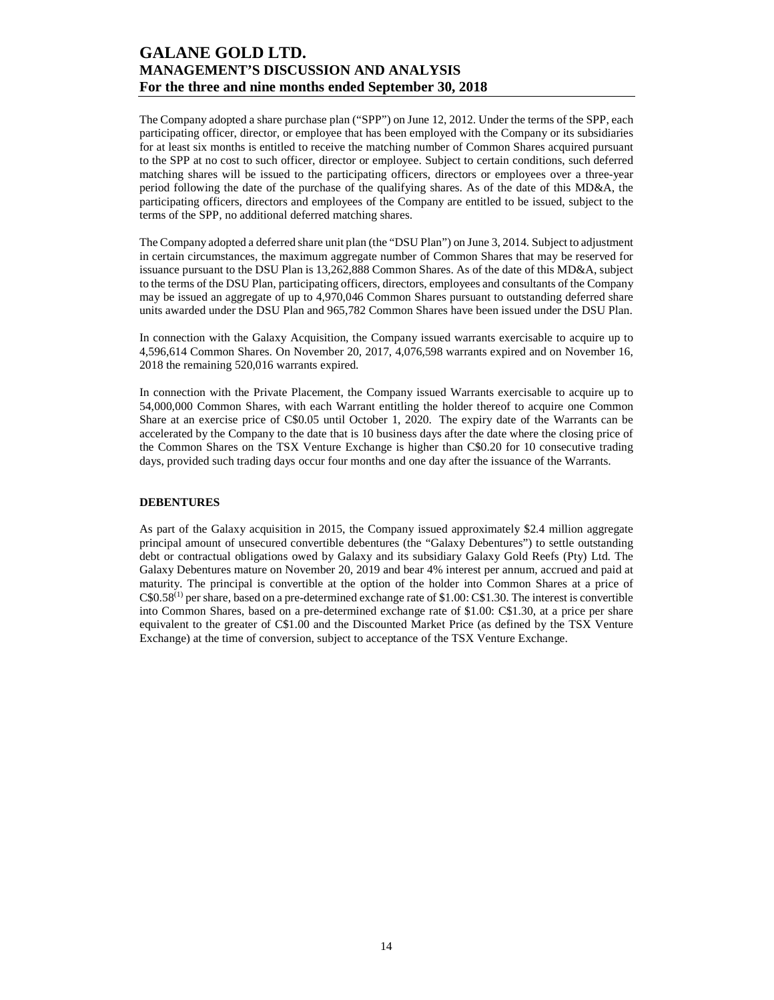The Company adopted a share purchase plan ("SPP") on June 12, 2012. Under the terms of the SPP, each participating officer, director, or employee that has been employed with the Company or its subsidiaries for at least six months is entitled to receive the matching number of Common Shares acquired pursuant to the SPP at no cost to such officer, director or employee. Subject to certain conditions, such deferred matching shares will be issued to the participating officers, directors or employees over a three-year period following the date of the purchase of the qualifying shares. As of the date of this MD&A, the participating officers, directors and employees of the Company are entitled to be issued, subject to the terms of the SPP, no additional deferred matching shares.

The Company adopted a deferred share unit plan (the "DSU Plan") on June 3, 2014. Subject to adjustment in certain circumstances, the maximum aggregate number of Common Shares that may be reserved for issuance pursuant to the DSU Plan is 13,262,888 Common Shares. As of the date of this MD&A, subject to the terms of the DSU Plan, participating officers, directors, employees and consultants of the Company may be issued an aggregate of up to 4,970,046 Common Shares pursuant to outstanding deferred share units awarded under the DSU Plan and 965,782 Common Shares have been issued under the DSU Plan.

In connection with the Galaxy Acquisition, the Company issued warrants exercisable to acquire up to 4,596,614 Common Shares. On November 20, 2017, 4,076,598 warrants expired and on November 16, 2018 the remaining 520,016 warrants expired.

In connection with the Private Placement, the Company issued Warrants exercisable to acquire up to 54,000,000 Common Shares, with each Warrant entitling the holder thereof to acquire one Common Share at an exercise price of C\$0.05 until October 1, 2020. The expiry date of the Warrants can be accelerated by the Company to the date that is 10 business days after the date where the closing price of the Common Shares on the TSX Venture Exchange is higher than C\$0.20 for 10 consecutive trading days, provided such trading days occur four months and one day after the issuance of the Warrants.

### **DEBENTURES**

As part of the Galaxy acquisition in 2015, the Company issued approximately \$2.4 million aggregate principal amount of unsecured convertible debentures (the "Galaxy Debentures") to settle outstanding debt or contractual obligations owed by Galaxy and its subsidiary Galaxy Gold Reefs (Pty) Ltd. The Galaxy Debentures mature on November 20, 2019 and bear 4% interest per annum, accrued and paid at maturity. The principal is convertible at the option of the holder into Common Shares at a price of  $C$0.58<sup>(1)</sup>$  per share, based on a pre-determined exchange rate of \$1.00: C\$1.30. The interest is convertible into Common Shares, based on a pre-determined exchange rate of \$1.00: C\$1.30, at a price per share equivalent to the greater of C\$1.00 and the Discounted Market Price (as defined by the TSX Venture Exchange) at the time of conversion, subject to acceptance of the TSX Venture Exchange.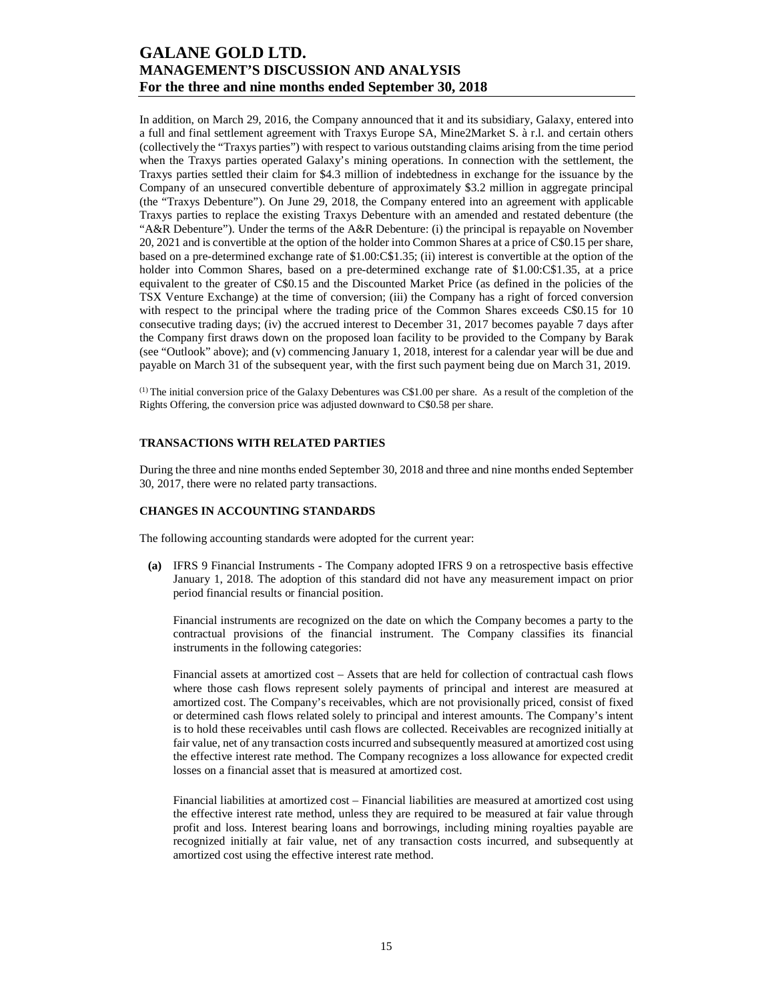In addition, on March 29, 2016, the Company announced that it and its subsidiary, Galaxy, entered into a full and final settlement agreement with Traxys Europe SA, Mine2Market S. à r.l. and certain others (collectively the "Traxys parties") with respect to various outstanding claims arising from the time period when the Traxys parties operated Galaxy's mining operations. In connection with the settlement, the Traxys parties settled their claim for \$4.3 million of indebtedness in exchange for the issuance by the Company of an unsecured convertible debenture of approximately \$3.2 million in aggregate principal (the "Traxys Debenture"). On June 29, 2018, the Company entered into an agreement with applicable Traxys parties to replace the existing Traxys Debenture with an amended and restated debenture (the "A&R Debenture"). Under the terms of the A&R Debenture: (i) the principal is repayable on November 20, 2021 and is convertible at the option of the holder into Common Shares at a price of C\$0.15 per share, based on a pre-determined exchange rate of \$1.00:C\$1.35; (ii) interest is convertible at the option of the holder into Common Shares, based on a pre-determined exchange rate of \$1.00:C\$1.35, at a price equivalent to the greater of C\$0.15 and the Discounted Market Price (as defined in the policies of the TSX Venture Exchange) at the time of conversion; (iii) the Company has a right of forced conversion with respect to the principal where the trading price of the Common Shares exceeds C\$0.15 for 10 consecutive trading days; (iv) the accrued interest to December 31, 2017 becomes payable 7 days after the Company first draws down on the proposed loan facility to be provided to the Company by Barak (see "Outlook" above); and (v) commencing January 1, 2018, interest for a calendar year will be due and payable on March 31 of the subsequent year, with the first such payment being due on March 31, 2019.

(1) The initial conversion price of the Galaxy Debentures was C\$1.00 per share. As a result of the completion of the Rights Offering, the conversion price was adjusted downward to C\$0.58 per share.

### **TRANSACTIONS WITH RELATED PARTIES**

During the three and nine months ended September 30, 2018 and three and nine months ended September 30, 2017, there were no related party transactions.

#### **CHANGES IN ACCOUNTING STANDARDS**

The following accounting standards were adopted for the current year:

**(a)** IFRS 9 Financial Instruments - The Company adopted IFRS 9 on a retrospective basis effective January 1, 2018. The adoption of this standard did not have any measurement impact on prior period financial results or financial position.

Financial instruments are recognized on the date on which the Company becomes a party to the contractual provisions of the financial instrument. The Company classifies its financial instruments in the following categories:

Financial assets at amortized cost – Assets that are held for collection of contractual cash flows where those cash flows represent solely payments of principal and interest are measured at amortized cost. The Company's receivables, which are not provisionally priced, consist of fixed or determined cash flows related solely to principal and interest amounts. The Company's intent is to hold these receivables until cash flows are collected. Receivables are recognized initially at fair value, net of any transaction costs incurred and subsequently measured at amortized cost using the effective interest rate method. The Company recognizes a loss allowance for expected credit losses on a financial asset that is measured at amortized cost.

Financial liabilities at amortized cost *–* Financial liabilities are measured at amortized cost using the effective interest rate method, unless they are required to be measured at fair value through profit and loss. Interest bearing loans and borrowings, including mining royalties payable are recognized initially at fair value, net of any transaction costs incurred, and subsequently at amortized cost using the effective interest rate method.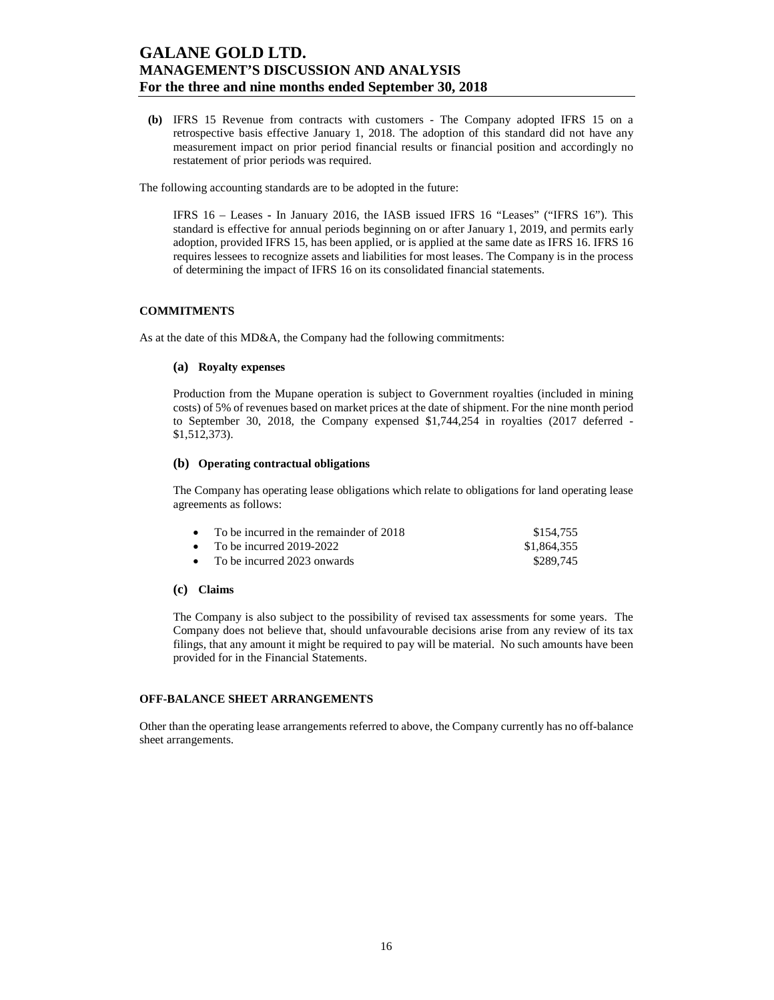**(b)** IFRS 15 Revenue from contracts with customers - The Company adopted IFRS 15 on a retrospective basis effective January 1, 2018. The adoption of this standard did not have any measurement impact on prior period financial results or financial position and accordingly no restatement of prior periods was required.

The following accounting standards are to be adopted in the future:

IFRS 16 – Leases **-** In January 2016, the IASB issued IFRS 16 "Leases" ("IFRS 16"). This standard is effective for annual periods beginning on or after January 1, 2019, and permits early adoption, provided IFRS 15, has been applied, or is applied at the same date as IFRS 16. IFRS 16 requires lessees to recognize assets and liabilities for most leases. The Company is in the process of determining the impact of IFRS 16 on its consolidated financial statements.

### **COMMITMENTS**

As at the date of this MD&A, the Company had the following commitments:

#### **(a) Royalty expenses**

Production from the Mupane operation is subject to Government royalties (included in mining costs) of 5% of revenues based on market prices at the date of shipment. For the nine month period to September 30, 2018, the Company expensed \$1,744,254 in royalties (2017 deferred - \$1,512,373).

#### **(b) Operating contractual obligations**

The Company has operating lease obligations which relate to obligations for land operating lease agreements as follows:

| • To be incurred in the remainder of $2018$ | \$154.755   |
|---------------------------------------------|-------------|
| • To be incurred $2019-2022$                | \$1,864,355 |
| • To be incurred 2023 onwards               | \$289.745   |

#### **(c) Claims**

The Company is also subject to the possibility of revised tax assessments for some years. The Company does not believe that, should unfavourable decisions arise from any review of its tax filings, that any amount it might be required to pay will be material. No such amounts have been provided for in the Financial Statements.

#### **OFF-BALANCE SHEET ARRANGEMENTS**

Other than the operating lease arrangements referred to above, the Company currently has no off-balance sheet arrangements.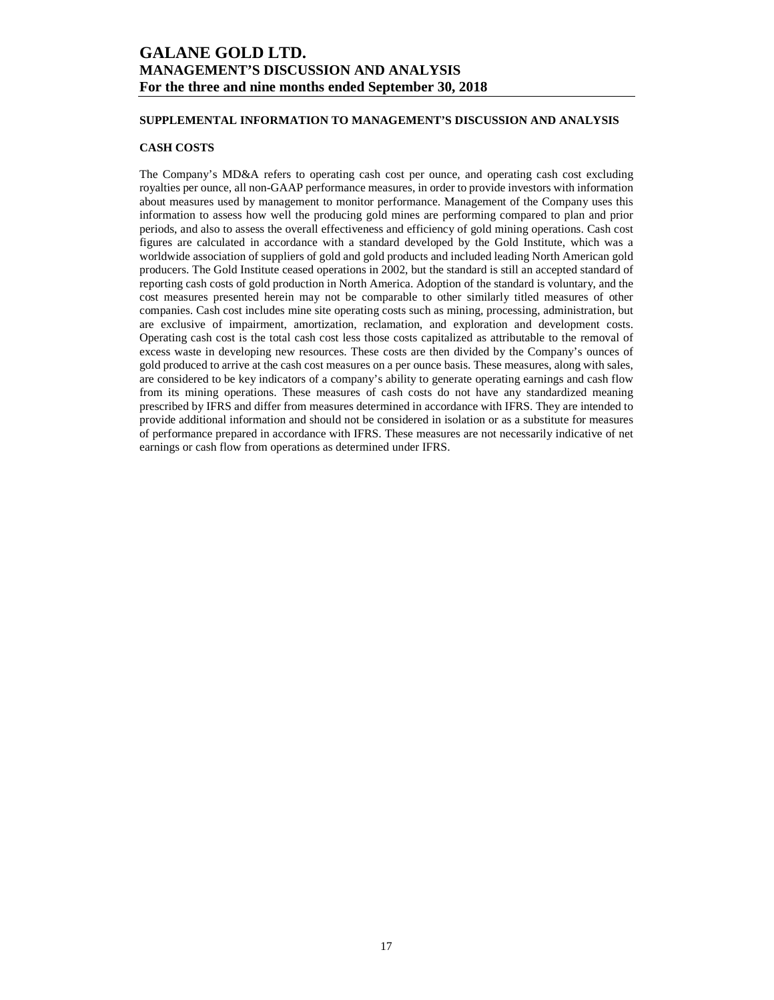### **SUPPLEMENTAL INFORMATION TO MANAGEMENT'S DISCUSSION AND ANALYSIS**

### **CASH COSTS**

The Company's MD&A refers to operating cash cost per ounce, and operating cash cost excluding royalties per ounce, all non-GAAP performance measures, in order to provide investors with information about measures used by management to monitor performance. Management of the Company uses this information to assess how well the producing gold mines are performing compared to plan and prior periods, and also to assess the overall effectiveness and efficiency of gold mining operations. Cash cost figures are calculated in accordance with a standard developed by the Gold Institute, which was a worldwide association of suppliers of gold and gold products and included leading North American gold producers. The Gold Institute ceased operations in 2002, but the standard is still an accepted standard of reporting cash costs of gold production in North America. Adoption of the standard is voluntary, and the cost measures presented herein may not be comparable to other similarly titled measures of other companies. Cash cost includes mine site operating costs such as mining, processing, administration, but are exclusive of impairment, amortization, reclamation, and exploration and development costs. Operating cash cost is the total cash cost less those costs capitalized as attributable to the removal of excess waste in developing new resources. These costs are then divided by the Company's ounces of gold produced to arrive at the cash cost measures on a per ounce basis. These measures, along with sales, are considered to be key indicators of a company's ability to generate operating earnings and cash flow from its mining operations. These measures of cash costs do not have any standardized meaning prescribed by IFRS and differ from measures determined in accordance with IFRS. They are intended to provide additional information and should not be considered in isolation or as a substitute for measures of performance prepared in accordance with IFRS. These measures are not necessarily indicative of net earnings or cash flow from operations as determined under IFRS.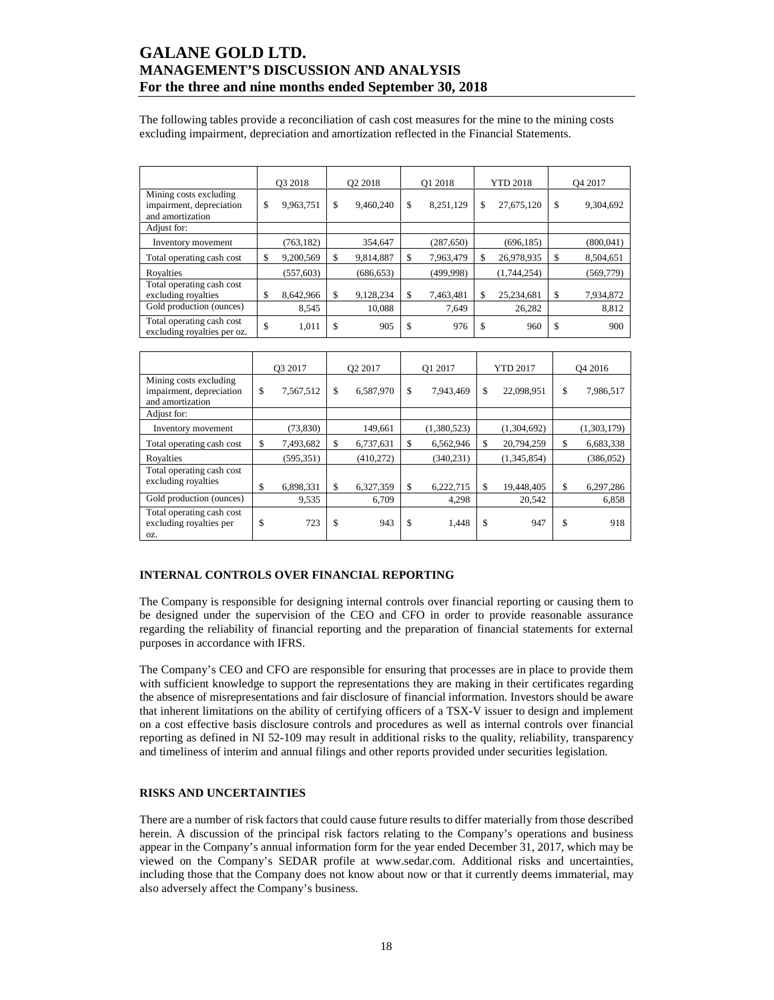The following tables provide a reconciliation of cash cost measures for the mine to the mining costs excluding impairment, depreciation and amortization reflected in the Financial Statements.

|                                                                        | O3 2018         | O <sub>2</sub> 2018 | O1 2018 |            | <b>YTD 2018</b>  | O <sub>4</sub> 2017 |
|------------------------------------------------------------------------|-----------------|---------------------|---------|------------|------------------|---------------------|
| Mining costs excluding<br>impairment, depreciation<br>and amortization | \$<br>9,963,751 | \$<br>9,460,240     | \$      | 8,251,129  | \$<br>27,675,120 | \$<br>9,304,692     |
| Adjust for:                                                            |                 |                     |         |            |                  |                     |
| Inventory movement                                                     | (763, 182)      | 354,647             |         | (287, 650) | (696, 185)       | (800, 041)          |
| Total operating cash cost                                              | \$<br>9,200,569 | \$<br>9,814,887     | S       | 7,963,479  | \$<br>26,978,935 | \$<br>8,504,651     |
| Rovalties                                                              | (557, 603)      | (686, 653)          |         | (499, 998) | (1,744,254)      | (569, 779)          |
| Total operating cash cost<br>excluding royalties                       | \$<br>8,642,966 | \$<br>9,128,234     | S       | 7,463,481  | \$<br>25,234,681 | \$<br>7,934,872     |
| Gold production (ounces)                                               | 8,545           | 10,088              |         | 7,649      | 26,282           | 8,812               |
| Total operating cash cost<br>excluding royalties per oz.               | \$<br>1,011     | \$<br>905           | \$.     | 976        | \$<br>960        | \$<br>900           |

|                                                                        | O3 2017 |            | O <sub>2</sub> 2017 |           | O1 2017 |             | <b>YTD 2017</b> |             | O <sub>4</sub> 2016 |             |
|------------------------------------------------------------------------|---------|------------|---------------------|-----------|---------|-------------|-----------------|-------------|---------------------|-------------|
| Mining costs excluding<br>impairment, depreciation<br>and amortization | \$      | 7,567,512  | \$                  | 6,587,970 | \$      | 7,943,469   | \$              | 22,098,951  | \$                  | 7,986,517   |
| Adjust for:                                                            |         |            |                     |           |         |             |                 |             |                     |             |
| Inventory movement                                                     |         | (73, 830)  |                     | 149.661   |         | (1,380,523) |                 | (1,304,692) |                     | (1,303,179) |
| Total operating cash cost                                              | \$      | 7,493,682  | \$                  | 6,737,631 | \$      | 6,562,946   | <sup>\$</sup>   | 20,794,259  | \$                  | 6,683,338   |
| Royalties                                                              |         | (595, 351) |                     | (410,272) |         | (340, 231)  |                 | (1,345,854) |                     | (386, 052)  |
| Total operating cash cost<br>excluding royalties                       | \$      | 6,898,331  | \$                  | 6,327,359 | \$      | 6,222,715   | \$              | 19,448,405  | \$                  | 6,297,286   |
| Gold production (ounces)                                               |         | 9,535      |                     | 6,709     |         | 4,298       |                 | 20,542      |                     | 6,858       |
| Total operating cash cost<br>excluding royalties per<br>OZ.            | \$      | 723        | \$                  | 943       | \$      | 1,448       | \$              | 947         | \$                  | 918         |

### **INTERNAL CONTROLS OVER FINANCIAL REPORTING**

The Company is responsible for designing internal controls over financial reporting or causing them to be designed under the supervision of the CEO and CFO in order to provide reasonable assurance regarding the reliability of financial reporting and the preparation of financial statements for external purposes in accordance with IFRS.

The Company's CEO and CFO are responsible for ensuring that processes are in place to provide them with sufficient knowledge to support the representations they are making in their certificates regarding the absence of misrepresentations and fair disclosure of financial information. Investors should be aware that inherent limitations on the ability of certifying officers of a TSX-V issuer to design and implement on a cost effective basis disclosure controls and procedures as well as internal controls over financial reporting as defined in NI 52-109 may result in additional risks to the quality, reliability, transparency and timeliness of interim and annual filings and other reports provided under securities legislation.

#### **RISKS AND UNCERTAINTIES**

There are a number of risk factors that could cause future results to differ materially from those described herein. A discussion of the principal risk factors relating to the Company's operations and business appear in the Company's annual information form for the year ended December 31, 2017, which may be viewed on the Company's SEDAR profile at www.sedar.com. Additional risks and uncertainties, including those that the Company does not know about now or that it currently deems immaterial, may also adversely affect the Company's business.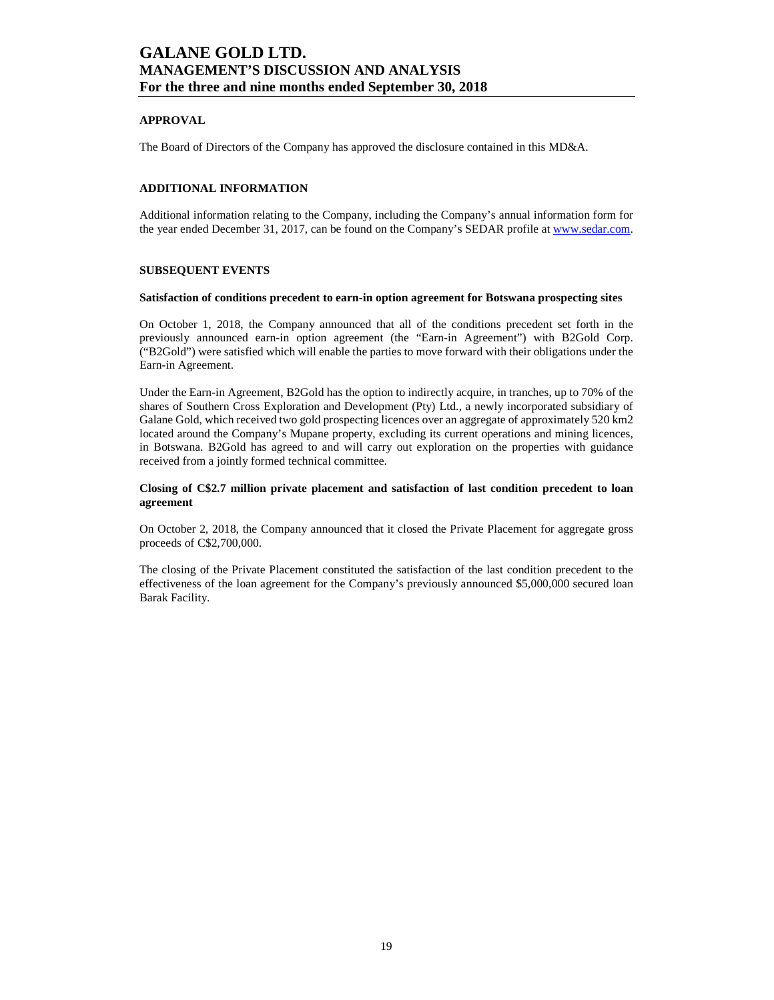### **APPROVAL**

The Board of Directors of the Company has approved the disclosure contained in this MD&A.

### **ADDITIONAL INFORMATION**

Additional information relating to the Company, including the Company's annual information form for the year ended December 31, 2017, can be found on the Company's SEDAR profile at www.sedar.com.

### **SUBSEQUENT EVENTS**

#### **Satisfaction of conditions precedent to earn-in option agreement for Botswana prospecting sites**

On October 1, 2018, the Company announced that all of the conditions precedent set forth in the previously announced earn-in option agreement (the "Earn-in Agreement") with B2Gold Corp. ("B2Gold") were satisfied which will enable the parties to move forward with their obligations under the Earn-in Agreement.

Under the Earn-in Agreement, B2Gold has the option to indirectly acquire, in tranches, up to 70% of the shares of Southern Cross Exploration and Development (Pty) Ltd., a newly incorporated subsidiary of Galane Gold, which received two gold prospecting licences over an aggregate of approximately 520 km2 located around the Company's Mupane property, excluding its current operations and mining licences, in Botswana. B2Gold has agreed to and will carry out exploration on the properties with guidance received from a jointly formed technical committee.

#### **Closing of C\$2.7 million private placement and satisfaction of last condition precedent to loan agreement**

On October 2, 2018, the Company announced that it closed the Private Placement for aggregate gross proceeds of C\$2,700,000.

The closing of the Private Placement constituted the satisfaction of the last condition precedent to the effectiveness of the loan agreement for the Company's previously announced \$5,000,000 secured loan Barak Facility.